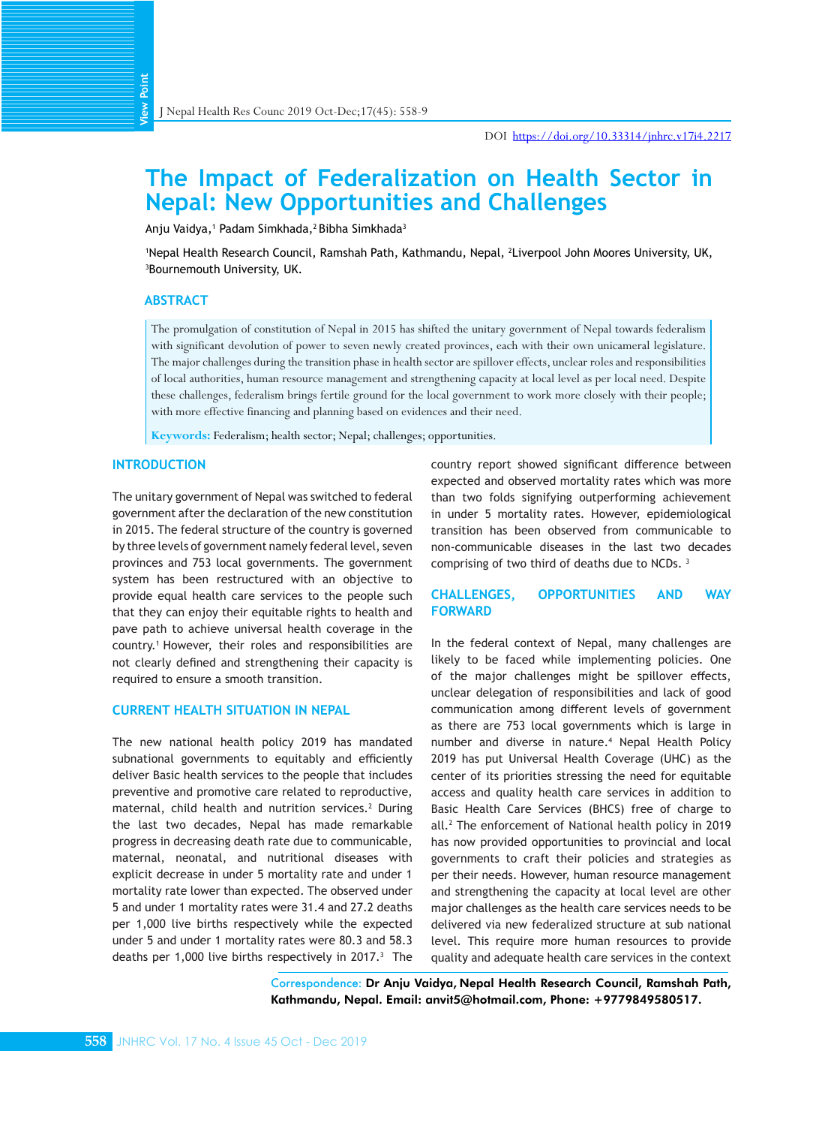# **The Impact of Federalization on Health Sector in Nepal: New Opportunities and Challenges**

Anju Vaidya,† Padam Simkhada,<sup>2</sup> Bibha Simkhada<sup>3</sup>

1 Nepal Health Research Council, Ramshah Path, Kathmandu, Nepal, 2 Liverpool John Moores University, UK, 3 Bournemouth University, UK.

#### **ABSTRACT**

**View Point**

The promulgation of constitution of Nepal in 2015 has shifted the unitary government of Nepal towards federalism with significant devolution of power to seven newly created provinces, each with their own unicameral legislature. The major challenges during the transition phase in health sector are spillover effects, unclear roles and responsibilities of local authorities, human resource management and strengthening capacity at local level as per local need. Despite these challenges, federalism brings fertile ground for the local government to work more closely with their people; with more effective financing and planning based on evidences and their need.

**Keywords:** Federalism; health sector; Nepal; challenges; opportunities.

## **INTRODUCTION**

The unitary government of Nepal was switched to federal government after the declaration of the new constitution in 2015. The federal structure of the country is governed by three levels of government namely federal level, seven provinces and 753 local governments. The government system has been restructured with an objective to provide equal health care services to the people such that they can enjoy their equitable rights to health and pave path to achieve universal health coverage in the country.1 However, their roles and responsibilities are not clearly defined and strengthening their capacity is required to ensure a smooth transition.

#### **CURRENT HEALTH SITUATION IN NEPAL**

The new national health policy 2019 has mandated subnational governments to equitably and efficiently deliver Basic health services to the people that includes preventive and promotive care related to reproductive, maternal, child health and nutrition services.<sup>2</sup> During the last two decades, Nepal has made remarkable progress in decreasing death rate due to communicable, maternal, neonatal, and nutritional diseases with explicit decrease in under 5 mortality rate and under 1 mortality rate lower than expected. The observed under 5 and under 1 mortality rates were 31.4 and 27.2 deaths per 1,000 live births respectively while the expected under 5 and under 1 mortality rates were 80.3 and 58.3 deaths per 1,000 live births respectively in 2017.<sup>3</sup> The

country report showed significant difference between expected and observed mortality rates which was more than two folds signifying outperforming achievement in under 5 mortality rates. However, epidemiological transition has been observed from communicable to non-communicable diseases in the last two decades comprising of two third of deaths due to NCDs. 3

# **CHALLENGES, OPPORTUNITIES AND WAY FORWARD**

In the federal context of Nepal, many challenges are likely to be faced while implementing policies. One of the major challenges might be spillover effects, unclear delegation of responsibilities and lack of good communication among different levels of government as there are 753 local governments which is large in number and diverse in nature.<sup>4</sup> Nepal Health Policy 2019 has put Universal Health Coverage (UHC) as the center of its priorities stressing the need for equitable access and quality health care services in addition to Basic Health Care Services (BHCS) free of charge to all.2 The enforcement of National health policy in 2019 has now provided opportunities to provincial and local governments to craft their policies and strategies as per their needs. However, human resource management and strengthening the capacity at local level are other major challenges as the health care services needs to be delivered via new federalized structure at sub national level. This require more human resources to provide quality and adequate health care services in the context

Correspondence: Dr Anju Vaidya, Nepal Health Research Council, Ramshah Path, Kathmandu, Nepal. Email: anvit5@hotmail.com, Phone: +9779849580517.